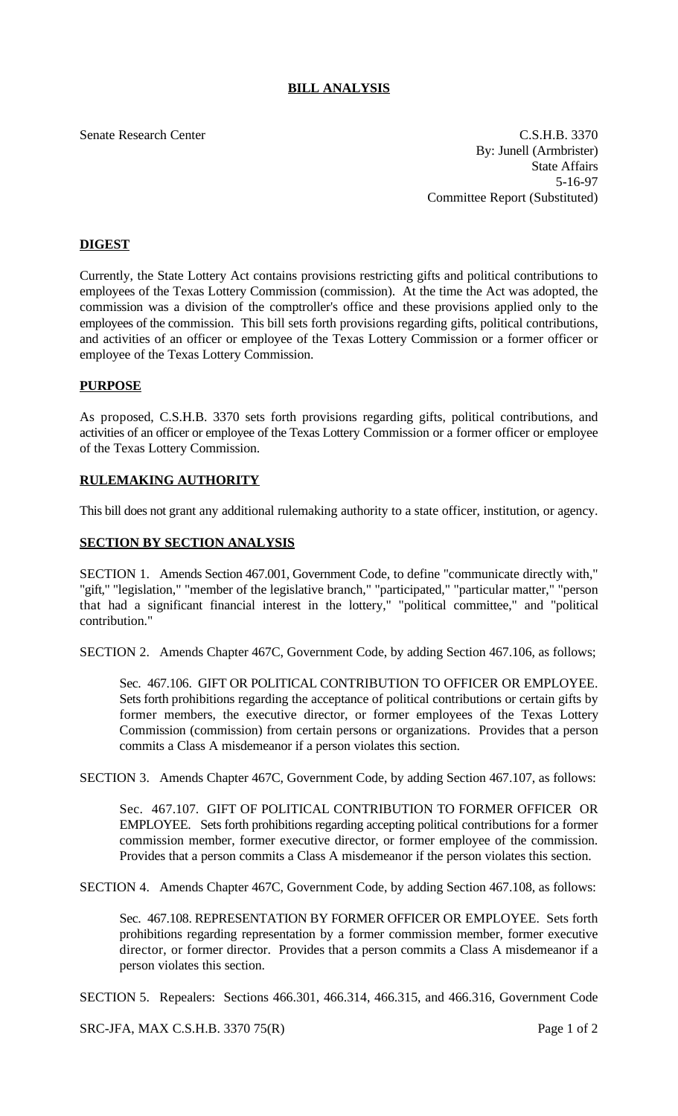# **BILL ANALYSIS**

Senate Research Center Context C.S.H.B. 3370 By: Junell (Armbrister) State Affairs 5-16-97 Committee Report (Substituted)

## **DIGEST**

Currently, the State Lottery Act contains provisions restricting gifts and political contributions to employees of the Texas Lottery Commission (commission). At the time the Act was adopted, the commission was a division of the comptroller's office and these provisions applied only to the employees of the commission. This bill sets forth provisions regarding gifts, political contributions, and activities of an officer or employee of the Texas Lottery Commission or a former officer or employee of the Texas Lottery Commission.

### **PURPOSE**

As proposed, C.S.H.B. 3370 sets forth provisions regarding gifts, political contributions, and activities of an officer or employee of the Texas Lottery Commission or a former officer or employee of the Texas Lottery Commission.

### **RULEMAKING AUTHORITY**

This bill does not grant any additional rulemaking authority to a state officer, institution, or agency.

### **SECTION BY SECTION ANALYSIS**

SECTION 1. Amends Section 467.001, Government Code, to define "communicate directly with," "gift," "legislation," "member of the legislative branch," "participated," "particular matter," "person that had a significant financial interest in the lottery," "political committee," and "political contribution."

SECTION 2. Amends Chapter 467C, Government Code, by adding Section 467.106, as follows;

Sec. 467.106. GIFT OR POLITICAL CONTRIBUTION TO OFFICER OR EMPLOYEE. Sets forth prohibitions regarding the acceptance of political contributions or certain gifts by former members, the executive director, or former employees of the Texas Lottery Commission (commission) from certain persons or organizations. Provides that a person commits a Class A misdemeanor if a person violates this section.

SECTION 3. Amends Chapter 467C, Government Code, by adding Section 467.107, as follows:

Sec. 467.107. GIFT OF POLITICAL CONTRIBUTION TO FORMER OFFICER OR EMPLOYEE. Sets forth prohibitions regarding accepting political contributions for a former commission member, former executive director, or former employee of the commission. Provides that a person commits a Class A misdemeanor if the person violates this section.

SECTION 4. Amends Chapter 467C, Government Code, by adding Section 467.108, as follows:

Sec. 467.108. REPRESENTATION BY FORMER OFFICER OR EMPLOYEE. Sets forth prohibitions regarding representation by a former commission member, former executive director, or former director. Provides that a person commits a Class A misdemeanor if a person violates this section.

SECTION 5. Repealers: Sections 466.301, 466.314, 466.315, and 466.316, Government Code

SRC-JFA, MAX C.S.H.B. 3370 75(R) Page 1 of 2